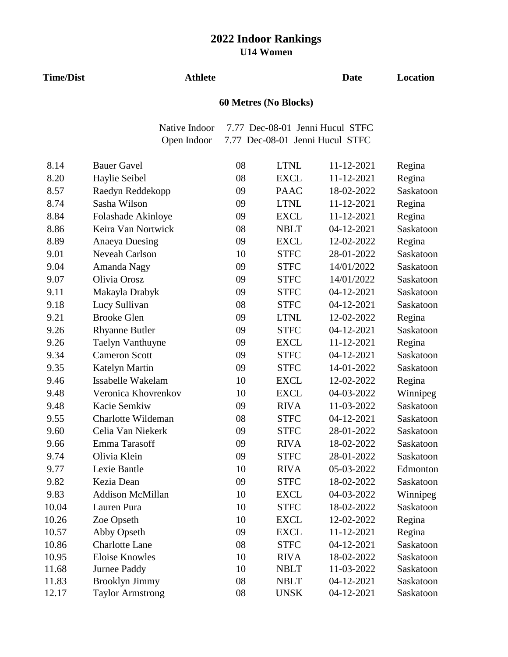#### **Time/Dist Athlete**

## **Date Location**

# **60 Metres (No Blocks)**

Native Indoor 7.77 Dec-08-01 Jenni Hucul STFC Open Indoor 7.77 Dec-08-01 Jenni Hucul STFC

| 8.14  | <b>Bauer Gavel</b>      | 08 | <b>LTNL</b> | 11-12-2021 | Regina    |
|-------|-------------------------|----|-------------|------------|-----------|
| 8.20  | Haylie Seibel           | 08 | <b>EXCL</b> | 11-12-2021 | Regina    |
| 8.57  | Raedyn Reddekopp        | 09 | <b>PAAC</b> | 18-02-2022 | Saskatoon |
| 8.74  | Sasha Wilson            | 09 | <b>LTNL</b> | 11-12-2021 | Regina    |
| 8.84  | Folashade Akinloye      | 09 | <b>EXCL</b> | 11-12-2021 | Regina    |
| 8.86  | Keira Van Nortwick      | 08 | <b>NBLT</b> | 04-12-2021 | Saskatoon |
| 8.89  | <b>Anaeya Duesing</b>   | 09 | <b>EXCL</b> | 12-02-2022 | Regina    |
| 9.01  | Neveah Carlson          | 10 | <b>STFC</b> | 28-01-2022 | Saskatoon |
| 9.04  | Amanda Nagy             | 09 | <b>STFC</b> | 14/01/2022 | Saskatoon |
| 9.07  | Olivia Orosz            | 09 | <b>STFC</b> | 14/01/2022 | Saskatoon |
| 9.11  | Makayla Drabyk          | 09 | <b>STFC</b> | 04-12-2021 | Saskatoon |
| 9.18  | Lucy Sullivan           | 08 | <b>STFC</b> | 04-12-2021 | Saskatoon |
| 9.21  | <b>Brooke Glen</b>      | 09 | <b>LTNL</b> | 12-02-2022 | Regina    |
| 9.26  | <b>Rhyanne Butler</b>   | 09 | <b>STFC</b> | 04-12-2021 | Saskatoon |
| 9.26  | Taelyn Vanthuyne        | 09 | <b>EXCL</b> | 11-12-2021 | Regina    |
| 9.34  | <b>Cameron Scott</b>    | 09 | <b>STFC</b> | 04-12-2021 | Saskatoon |
| 9.35  | Katelyn Martin          | 09 | <b>STFC</b> | 14-01-2022 | Saskatoon |
| 9.46  | Issabelle Wakelam       | 10 | <b>EXCL</b> | 12-02-2022 | Regina    |
| 9.48  | Veronica Khovrenkov     | 10 | <b>EXCL</b> | 04-03-2022 | Winnipeg  |
| 9.48  | Kacie Semkiw            | 09 | <b>RIVA</b> | 11-03-2022 | Saskatoon |
| 9.55  | Charlotte Wildeman      | 08 | <b>STFC</b> | 04-12-2021 | Saskatoon |
| 9.60  | Celia Van Niekerk       | 09 | <b>STFC</b> | 28-01-2022 | Saskatoon |
| 9.66  | Emma Tarasoff           | 09 | <b>RIVA</b> | 18-02-2022 | Saskatoon |
| 9.74  | Olivia Klein            | 09 | <b>STFC</b> | 28-01-2022 | Saskatoon |
| 9.77  | Lexie Bantle            | 10 | <b>RIVA</b> | 05-03-2022 | Edmonton  |
| 9.82  | Kezia Dean              | 09 | <b>STFC</b> | 18-02-2022 | Saskatoon |
| 9.83  | <b>Addison McMillan</b> | 10 | <b>EXCL</b> | 04-03-2022 | Winnipeg  |
| 10.04 | Lauren Pura             | 10 | <b>STFC</b> | 18-02-2022 | Saskatoon |
| 10.26 | Zoe Opseth              | 10 | <b>EXCL</b> | 12-02-2022 | Regina    |
| 10.57 | Abby Opseth             | 09 | <b>EXCL</b> | 11-12-2021 | Regina    |
| 10.86 | <b>Charlotte Lane</b>   | 08 | <b>STFC</b> | 04-12-2021 | Saskatoon |
| 10.95 | <b>Eloise Knowles</b>   | 10 | <b>RIVA</b> | 18-02-2022 | Saskatoon |
| 11.68 | Jurnee Paddy            | 10 | <b>NBLT</b> | 11-03-2022 | Saskatoon |
| 11.83 | <b>Brooklyn Jimmy</b>   | 08 | <b>NBLT</b> | 04-12-2021 | Saskatoon |
| 12.17 | <b>Taylor Armstrong</b> | 08 | <b>UNSK</b> | 04-12-2021 | Saskatoon |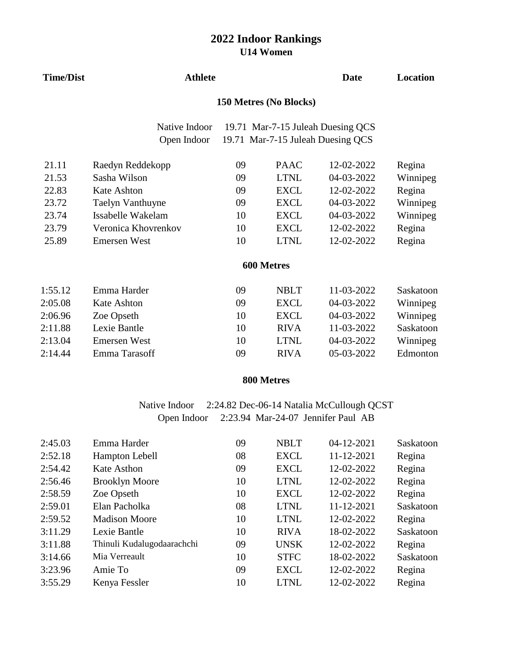| <b>Time/Dist</b> | <b>Athlete</b>               | <b>Date</b> | Location                                                               |            |           |
|------------------|------------------------------|-------------|------------------------------------------------------------------------|------------|-----------|
|                  | 150 Metres (No Blocks)       |             |                                                                        |            |           |
|                  | Native Indoor<br>Open Indoor |             | 19.71 Mar-7-15 Juleah Duesing QCS<br>19.71 Mar-7-15 Juleah Duesing QCS |            |           |
| 21.11            | Raedyn Reddekopp             | 09          | <b>PAAC</b>                                                            | 12-02-2022 | Regina    |
| 21.53            | Sasha Wilson                 | 09          | <b>LTNL</b>                                                            | 04-03-2022 | Winnipeg  |
| 22.83            | <b>Kate Ashton</b>           | 09          | <b>EXCL</b>                                                            | 12-02-2022 | Regina    |
| 23.72            | Taelyn Vanthuyne             | 09          | <b>EXCL</b>                                                            | 04-03-2022 | Winnipeg  |
| 23.74            | Issabelle Wakelam            | 10          | <b>EXCL</b>                                                            | 04-03-2022 | Winnipeg  |
| 23.79            | Veronica Khovrenkov          | 10          | <b>EXCL</b>                                                            | 12-02-2022 | Regina    |
| 25.89            | <b>Emersen West</b>          | 10          | <b>LTNL</b>                                                            | 12-02-2022 | Regina    |
|                  |                              |             | 600 Metres                                                             |            |           |
| 1:55.12          | Emma Harder                  | 09          | <b>NBLT</b>                                                            | 11-03-2022 | Saskatoon |
| 2:05.08          | <b>Kate Ashton</b>           | 09          | <b>EXCL</b>                                                            | 04-03-2022 | Winnipeg  |
| 2:06.96          | Zoe Opseth                   | 10          | <b>EXCL</b>                                                            | 04-03-2022 | Winnipeg  |
| 2:11.88          | Lexie Bantle                 | 10          | <b>RIVA</b>                                                            | 11-03-2022 | Saskatoon |
| 2:13.04          | <b>Emersen West</b>          | 10          | <b>LTNL</b>                                                            | 04-03-2022 | Winnipeg  |
| 2:14.44          | Emma Tarasoff                | 09          | <b>RIVA</b>                                                            | 05-03-2022 | Edmonton  |
|                  |                              |             |                                                                        |            |           |

#### **800 Metres**

#### Native Indoor 2:24.82 Dec-06-14 Natalia McCullough QCST Open Indoor 2:23.94 Mar-24-07 Jennifer Paul AB

| 2:45.03 | Emma Harder                | 09 | <b>NBLT</b> | 04-12-2021 | Saskatoon |
|---------|----------------------------|----|-------------|------------|-----------|
| 2:52.18 | <b>Hampton Lebell</b>      | 08 | <b>EXCL</b> | 11-12-2021 | Regina    |
| 2:54.42 | Kate Asthon                | 09 | <b>EXCL</b> | 12-02-2022 | Regina    |
| 2:56.46 | <b>Brooklyn Moore</b>      | 10 | <b>LTNL</b> | 12-02-2022 | Regina    |
| 2:58.59 | Zoe Opseth                 | 10 | <b>EXCL</b> | 12-02-2022 | Regina    |
| 2:59.01 | Elan Pacholka              | 08 | <b>LTNL</b> | 11-12-2021 | Saskatoon |
| 2:59.52 | <b>Madison Moore</b>       | 10 | <b>LTNL</b> | 12-02-2022 | Regina    |
| 3:11.29 | Lexie Bantle               | 10 | <b>RIVA</b> | 18-02-2022 | Saskatoon |
| 3:11.88 | Thinuli Kudalugodaarachchi | 09 | <b>UNSK</b> | 12-02-2022 | Regina    |
| 3:14.66 | Mia Verreault              | 10 | <b>STFC</b> | 18-02-2022 | Saskatoon |
| 3:23.96 | Amie To                    | 09 | <b>EXCL</b> | 12-02-2022 | Regina    |
| 3:55.29 | Kenya Fessler              | 10 | <b>LTNL</b> | 12-02-2022 | Regina    |
|         |                            |    |             |            |           |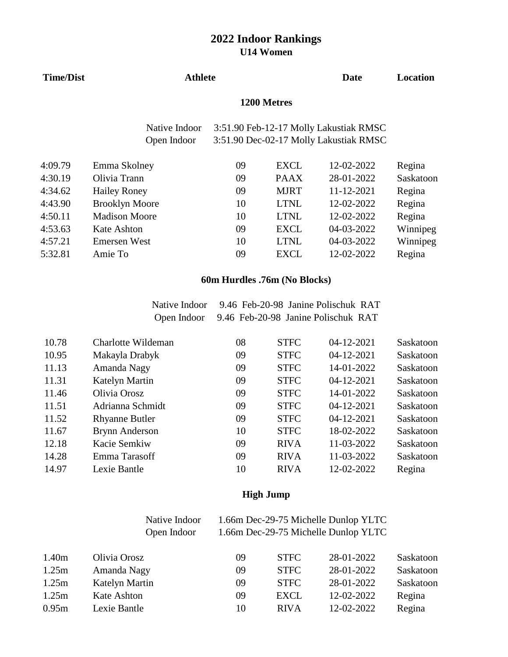| <b>Time/Dist</b> | <b>Athlete</b>        | <b>Date</b> | Location    |                                        |           |  |
|------------------|-----------------------|-------------|-------------|----------------------------------------|-----------|--|
|                  | 1200 Metres           |             |             |                                        |           |  |
|                  | Native Indoor         |             |             | 3:51.90 Feb-12-17 Molly Lakustiak RMSC |           |  |
|                  | Open Indoor           |             |             | 3:51.90 Dec-02-17 Molly Lakustiak RMSC |           |  |
| 4:09.79          | Emma Skolney          | 09          | <b>EXCL</b> | 12-02-2022                             | Regina    |  |
| 4:30.19          | Olivia Trann          | 09          | <b>PAAX</b> | 28-01-2022                             | Saskatoon |  |
| 4:34.62          | <b>Hailey Roney</b>   | 09          | <b>MJRT</b> | 11-12-2021                             | Regina    |  |
| 4:43.90          | <b>Brooklyn Moore</b> | 10          | <b>LTNL</b> | 12-02-2022                             | Regina    |  |
| 4:50.11          | <b>Madison Moore</b>  | 10          | <b>LTNL</b> | 12-02-2022                             | Regina    |  |
| 4:53.63          | Kate Ashton           | 09          | <b>EXCL</b> | 04-03-2022                             | Winnipeg  |  |
| 4:57.21          | <b>Emersen West</b>   | 10          | <b>LTNL</b> | 04-03-2022                             | Winnipeg  |  |
| 5:32.81          | Amie To               | 09          | <b>EXCL</b> | 12-02-2022                             | Regina    |  |
|                  |                       |             |             |                                        |           |  |

#### **60m Hurdles .76m (No Blocks)**

Native Indoor 9.46 Feb-20-98 Janine Polischuk RAT Open Indoor 9.46 Feb-20-98 Janine Polischuk RAT

| 10.78 | Charlotte Wildeman    | 08 | <b>STFC</b> | 04-12-2021 | Saskatoon |
|-------|-----------------------|----|-------------|------------|-----------|
| 10.95 | Makayla Drabyk        | 09 | <b>STFC</b> | 04-12-2021 | Saskatoon |
| 11.13 | Amanda Nagy           | 09 | <b>STFC</b> | 14-01-2022 | Saskatoon |
| 11.31 | <b>Katelyn Martin</b> | 09 | <b>STFC</b> | 04-12-2021 | Saskatoon |
| 11.46 | Olivia Orosz          | 09 | <b>STFC</b> | 14-01-2022 | Saskatoon |
| 11.51 | Adrianna Schmidt      | 09 | <b>STFC</b> | 04-12-2021 | Saskatoon |
| 11.52 | <b>Rhyanne Butler</b> | 09 | <b>STFC</b> | 04-12-2021 | Saskatoon |
| 11.67 | <b>Brynn Anderson</b> | 10 | <b>STFC</b> | 18-02-2022 | Saskatoon |
| 12.18 | Kacie Semkiw          | 09 | <b>RIVA</b> | 11-03-2022 | Saskatoon |
| 14.28 | Emma Tarasoff         | 09 | <b>RIVA</b> | 11-03-2022 | Saskatoon |
| 14.97 | Lexie Bantle          | 10 | <b>RIVA</b> | 12-02-2022 | Regina    |

#### **High Jump**

| Native Indoor | 1.66m Dec-29-75 Michelle Dunlop YLTC |
|---------------|--------------------------------------|
| Open Indoor   | 1.66m Dec-29-75 Michelle Dunlop YLTC |

| Olivia Orosz   | 09 | <b>STFC</b> | 28-01-2022 | Saskatoon |
|----------------|----|-------------|------------|-----------|
| Amanda Nagy    | 09 | <b>STFC</b> | 28-01-2022 | Saskatoon |
| Katelyn Martin | 09 | <b>STFC</b> | 28-01-2022 | Saskatoon |
| Kate Ashton    | 09 | EXCL        | 12-02-2022 | Regina    |
| Lexie Bantle   | 10 | <b>RIVA</b> | 12-02-2022 | Regina    |
|                |    |             |            |           |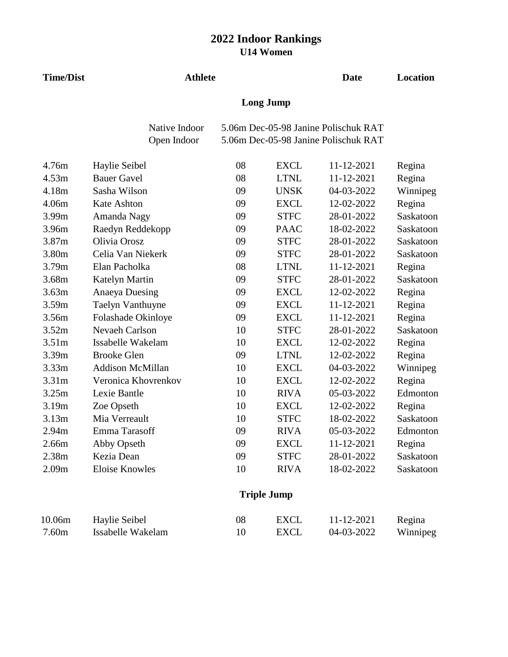| <b>Time/Dist</b>  |                              | <b>Athlete</b> |                    |                                                                              |           |  |  |  |
|-------------------|------------------------------|----------------|--------------------|------------------------------------------------------------------------------|-----------|--|--|--|
|                   | <b>Long Jump</b>             |                |                    |                                                                              |           |  |  |  |
|                   | Native Indoor<br>Open Indoor |                |                    | 5.06m Dec-05-98 Janine Polischuk RAT<br>5.06m Dec-05-98 Janine Polischuk RAT |           |  |  |  |
|                   |                              |                |                    |                                                                              |           |  |  |  |
| 4.76m             | Haylie Seibel                | 08             | <b>EXCL</b>        | 11-12-2021                                                                   | Regina    |  |  |  |
| 4.53m             | <b>Bauer Gavel</b>           | 08             | <b>LTNL</b>        | 11-12-2021                                                                   | Regina    |  |  |  |
| 4.18m             | Sasha Wilson                 | 09             | <b>UNSK</b>        | 04-03-2022                                                                   | Winnipeg  |  |  |  |
| 4.06m             | Kate Ashton                  | 09             | <b>EXCL</b>        | 12-02-2022                                                                   | Regina    |  |  |  |
| 3.99m             | Amanda Nagy                  | 09             | <b>STFC</b>        | 28-01-2022                                                                   | Saskatoon |  |  |  |
| 3.96m             | Raedyn Reddekopp             | 09             | <b>PAAC</b>        | 18-02-2022                                                                   | Saskatoon |  |  |  |
| 3.87m             | Olivia Orosz                 | 09             | <b>STFC</b>        | 28-01-2022                                                                   | Saskatoon |  |  |  |
| 3.80m             | Celia Van Niekerk            | 09             | <b>STFC</b>        | 28-01-2022                                                                   | Saskatoon |  |  |  |
| 3.79m             | Elan Pacholka                | 08             | <b>LTNL</b>        | 11-12-2021                                                                   | Regina    |  |  |  |
| 3.68m             | <b>Katelyn Martin</b>        | 09             | <b>STFC</b>        | 28-01-2022                                                                   | Saskatoon |  |  |  |
| 3.63m             | <b>Anaeya Duesing</b>        | 09             | <b>EXCL</b>        | 12-02-2022                                                                   | Regina    |  |  |  |
| 3.59m             | Taelyn Vanthuyne             | 09             | <b>EXCL</b>        | 11-12-2021                                                                   | Regina    |  |  |  |
| 3.56m             | Folashade Okinloye           | 09             | <b>EXCL</b>        | 11-12-2021                                                                   | Regina    |  |  |  |
| 3.52m             | Nevaeh Carlson               | 10             | <b>STFC</b>        | 28-01-2022                                                                   | Saskatoon |  |  |  |
| 3.51 <sub>m</sub> | Issabelle Wakelam            | 10             | <b>EXCL</b>        | 12-02-2022                                                                   | Regina    |  |  |  |
| 3.39m             | <b>Brooke Glen</b>           | 09             | <b>LTNL</b>        | 12-02-2022                                                                   | Regina    |  |  |  |
| 3.33m             | <b>Addison McMillan</b>      | 10             | <b>EXCL</b>        | 04-03-2022                                                                   | Winnipeg  |  |  |  |
| 3.31 <sub>m</sub> | Veronica Khovrenkov          | 10             | <b>EXCL</b>        | 12-02-2022                                                                   | Regina    |  |  |  |
| 3.25m             | Lexie Bantle                 | 10             | <b>RIVA</b>        | 05-03-2022                                                                   | Edmonton  |  |  |  |
| 3.19m             | Zoe Opseth                   | 10             | <b>EXCL</b>        | 12-02-2022                                                                   | Regina    |  |  |  |
| 3.13m             | Mia Verreault                | 10             | <b>STFC</b>        | 18-02-2022                                                                   | Saskatoon |  |  |  |
| 2.94m             | Emma Tarasoff                | 09             | <b>RIVA</b>        | 05-03-2022                                                                   | Edmonton  |  |  |  |
| 2.66m             | Abby Opseth                  | 09             | <b>EXCL</b>        | 11-12-2021                                                                   | Regina    |  |  |  |
| 2.38m             | Kezia Dean                   | 09             | <b>STFC</b>        | 28-01-2022                                                                   | Saskatoon |  |  |  |
| 2.09m             | <b>Eloise Knowles</b>        | 10             | <b>RIVA</b>        | 18-02-2022                                                                   | Saskatoon |  |  |  |
|                   |                              |                | <b>Triple Jump</b> |                                                                              |           |  |  |  |
| 10.06m            | Haylie Seibel                | 08             | <b>EXCL</b>        | 11-12-2021                                                                   | Regina    |  |  |  |

7.60m Issabelle Wakelam 10 EXCL 04-03-2022 Winnipeg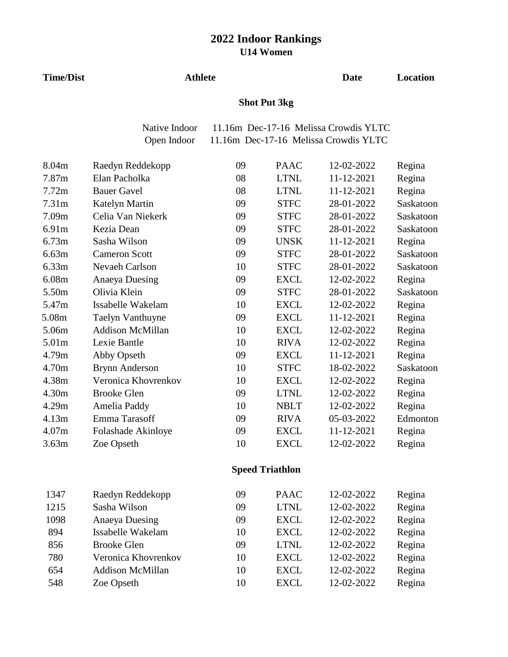**Date Location**

|                   |                         |    | <b>Shot Put 3kg</b> |                                       |           |
|-------------------|-------------------------|----|---------------------|---------------------------------------|-----------|
|                   | Native Indoor           |    |                     | 11.16m Dec-17-16 Melissa Crowdis YLTC |           |
|                   | Open Indoor             |    |                     | 11.16m Dec-17-16 Melissa Crowdis YLTC |           |
| 8.04m             | Raedyn Reddekopp        | 09 | <b>PAAC</b>         | 12-02-2022                            | Regina    |
| 7.87m             | Elan Pacholka           | 08 | <b>LTNL</b>         | 11-12-2021                            | Regina    |
| 7.72m             | <b>Bauer Gavel</b>      | 08 | <b>LTNL</b>         | 11-12-2021                            | Regina    |
| 7.31 <sub>m</sub> | <b>Katelyn Martin</b>   | 09 | <b>STFC</b>         | 28-01-2022                            | Saskatoon |
| 7.09 <sub>m</sub> | Celia Van Niekerk       | 09 | <b>STFC</b>         | 28-01-2022                            | Saskatoon |
| 6.91m             | Kezia Dean              | 09 | <b>STFC</b>         | 28-01-2022                            | Saskatoon |
| 6.73m             | Sasha Wilson            | 09 | <b>UNSK</b>         | 11-12-2021                            | Regina    |
| 6.63m             | <b>Cameron Scott</b>    | 09 | <b>STFC</b>         | 28-01-2022                            | Saskatoon |
| 6.33m             | Nevaeh Carlson          | 10 | <b>STFC</b>         | 28-01-2022                            | Saskatoon |
| 6.08m             | <b>Anaeya Duesing</b>   | 09 | <b>EXCL</b>         | 12-02-2022                            | Regina    |
| 5.50m             | Olivia Klein            | 09 | <b>STFC</b>         | 28-01-2022                            | Saskatoon |
| 5.47m             | Issabelle Wakelam       | 10 | <b>EXCL</b>         | 12-02-2022                            | Regina    |
| 5.08m             | Taelyn Vanthuyne        | 09 | <b>EXCL</b>         | 11-12-2021                            | Regina    |
| 5.06m             | <b>Addison McMillan</b> | 10 | <b>EXCL</b>         | 12-02-2022                            | Regina    |
| 5.01m             | Lexie Bantle            | 10 | <b>RIVA</b>         | 12-02-2022                            | Regina    |
| 4.79m             | Abby Opseth             | 09 | <b>EXCL</b>         | 11-12-2021                            | Regina    |
| 4.70m             | <b>Brynn Anderson</b>   | 10 | <b>STFC</b>         | 18-02-2022                            | Saskatoon |
| 4.38m             | Veronica Khovrenkov     | 10 | <b>EXCL</b>         | 12-02-2022                            | Regina    |
| 4.30m             | <b>Brooke Glen</b>      | 09 | <b>LTNL</b>         | 12-02-2022                            | Regina    |
| 4.29m             | Amelia Paddy            | 10 | <b>NBLT</b>         | 12-02-2022                            | Regina    |
| 4.13m             | Emma Tarasoff           | 09 | <b>RIVA</b>         | 05-03-2022                            | Edmonton  |
| 4.07m             | Folashade Akinloye      | 09 | <b>EXCL</b>         | 11-12-2021                            | Regina    |
| 3.63m             | Zoe Opseth              | 10 | <b>EXCL</b>         | 12-02-2022                            | Regina    |

**Athlete**

**Time/Dist**

#### **Speed Triathlon**

| 1347 | Raedyn Reddekopp        | 09 | <b>PAAC</b> | 12-02-2022 | Regina |
|------|-------------------------|----|-------------|------------|--------|
| 1215 | Sasha Wilson            | 09 | <b>LTNL</b> | 12-02-2022 | Regina |
| 1098 | Anaeya Duesing          | 09 | <b>EXCL</b> | 12-02-2022 | Regina |
| 894  | Issabelle Wakelam       | 10 | <b>EXCL</b> | 12-02-2022 | Regina |
| 856  | <b>Brooke Glen</b>      | 09 | <b>LTNL</b> | 12-02-2022 | Regina |
| 780  | Veronica Khovrenkov     | 10 | <b>EXCL</b> | 12-02-2022 | Regina |
| 654  | <b>Addison McMillan</b> | 10 | <b>EXCL</b> | 12-02-2022 | Regina |
| 548  | Zoe Opseth              | 10 | <b>EXCL</b> | 12-02-2022 | Regina |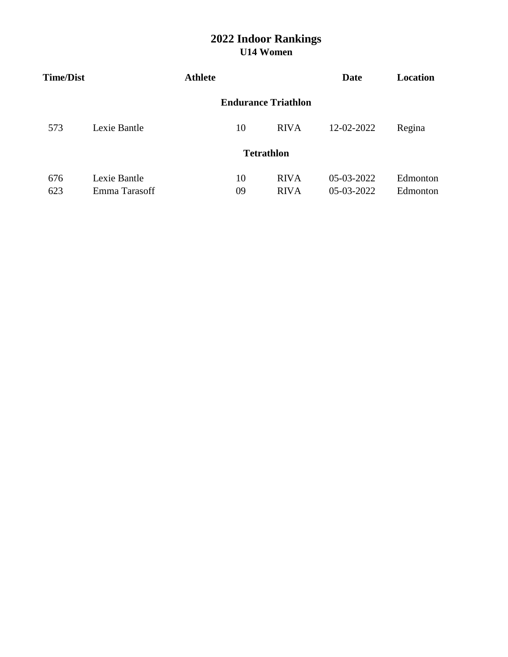| <b>Time/Dist</b> |               | <b>Athlete</b> |    |                            | Date       | Location |
|------------------|---------------|----------------|----|----------------------------|------------|----------|
|                  |               |                |    | <b>Endurance Triathlon</b> |            |          |
| 573              | Lexie Bantle  |                | 10 | <b>RIVA</b>                | 12-02-2022 | Regina   |
|                  |               |                |    | <b>Tetrathlon</b>          |            |          |
| 676              | Lexie Bantle  |                | 10 | <b>RIVA</b>                | 05-03-2022 | Edmonton |
| 623              | Emma Tarasoff |                | 09 | <b>RIVA</b>                | 05-03-2022 | Edmonton |